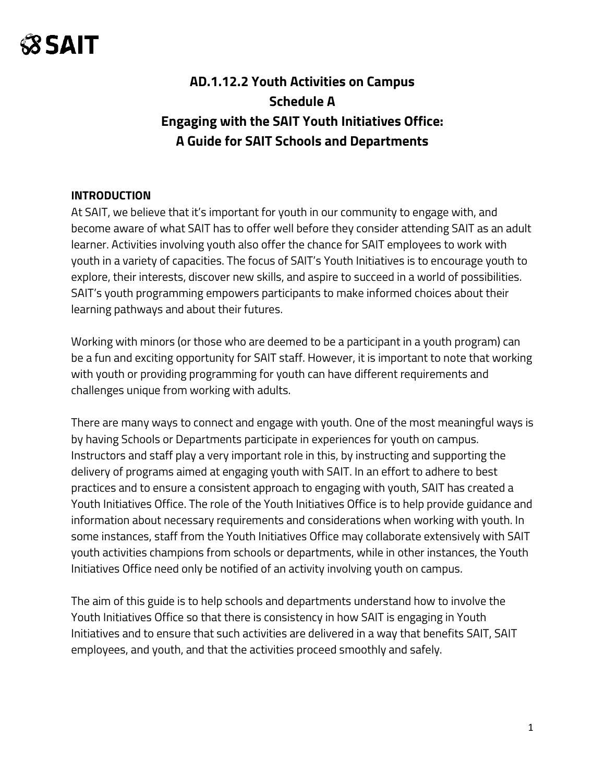### **AD.1.12.2 Youth Activities on Campus Schedule A Engaging with the SAIT Youth Initiatives Office: A Guide for SAIT Schools and Departments**

#### **INTRODUCTION**

At SAIT, we believe that it's important for youth in our community to engage with, and become aware of what SAIT has to offer well before they consider attending SAIT as an adult learner. Activities involving youth also offer the chance for SAIT employees to work with youth in a variety of capacities. The focus of SAIT's Youth Initiatives is to encourage youth to explore, their interests, discover new skills, and aspire to succeed in a world of possibilities. SAIT's youth programming empowers participants to make informed choices about their learning pathways and about their futures.

Working with minors (or those who are deemed to be a participant in a youth program) can be a fun and exciting opportunity for SAIT staff. However, it is important to note that working with youth or providing programming for youth can have different requirements and challenges unique from working with adults.

There are many ways to connect and engage with youth. One of the most meaningful ways is by having Schools or Departments participate in experiences for youth on campus. Instructors and staff play a very important role in this, by instructing and supporting the delivery of programs aimed at engaging youth with SAIT. In an effort to adhere to best practices and to ensure a consistent approach to engaging with youth, SAIT has created a Youth Initiatives Office. The role of the Youth Initiatives Office is to help provide guidance and information about necessary requirements and considerations when working with youth. In some instances, staff from the Youth Initiatives Office may collaborate extensively with SAIT youth activities champions from schools or departments, while in other instances, the Youth Initiatives Office need only be notified of an activity involving youth on campus.

The aim of this guide is to help schools and departments understand how to involve the Youth Initiatives Office so that there is consistency in how SAIT is engaging in Youth Initiatives and to ensure that such activities are delivered in a way that benefits SAIT, SAIT employees, and youth, and that the activities proceed smoothly and safely.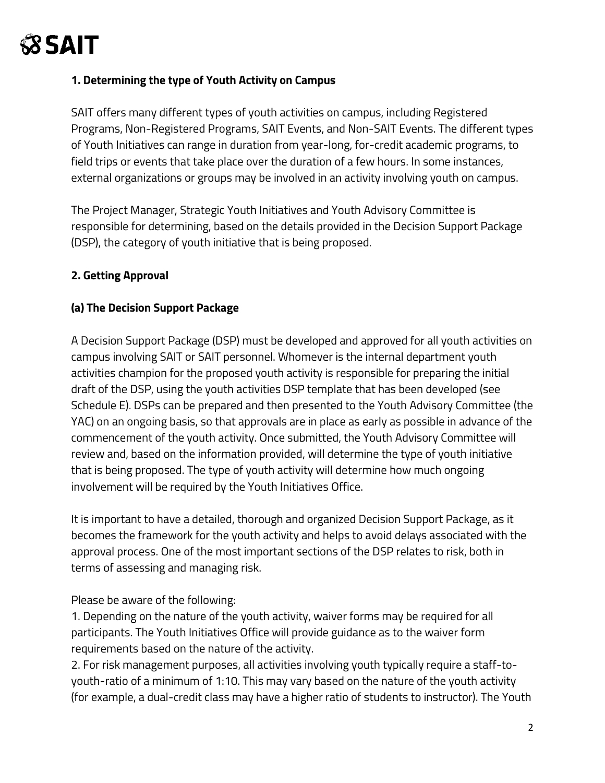### **1. Determining the type of Youth Activity on Campus**

SAIT offers many different types of youth activities on campus, including Registered Programs, Non-Registered Programs, SAIT Events, and Non-SAIT Events. The different types of Youth Initiatives can range in duration from year-long, for-credit academic programs, to field trips or events that take place over the duration of a few hours. In some instances, external organizations or groups may be involved in an activity involving youth on campus.

The Project Manager, Strategic Youth Initiatives and Youth Advisory Committee is responsible for determining, based on the details provided in the Decision Support Package (DSP), the category of youth initiative that is being proposed.

### **2. Getting Approval**

### **(a) The Decision Support Package**

A Decision Support Package (DSP) must be developed and approved for all youth activities on campus involving SAIT or SAIT personnel. Whomever is the internal department youth activities champion for the proposed youth activity is responsible for preparing the initial draft of the DSP, using the youth activities DSP template that has been developed (see Schedule E). DSPs can be prepared and then presented to the Youth Advisory Committee (the YAC) on an ongoing basis, so that approvals are in place as early as possible in advance of the commencement of the youth activity. Once submitted, the Youth Advisory Committee will review and, based on the information provided, will determine the type of youth initiative that is being proposed. The type of youth activity will determine how much ongoing involvement will be required by the Youth Initiatives Office.

It is important to have a detailed, thorough and organized Decision Support Package, as it becomes the framework for the youth activity and helps to avoid delays associated with the approval process. One of the most important sections of the DSP relates to risk, both in terms of assessing and managing risk.

Please be aware of the following:

1. Depending on the nature of the youth activity, waiver forms may be required for all participants. The Youth Initiatives Office will provide guidance as to the waiver form requirements based on the nature of the activity.

2. For risk management purposes, all activities involving youth typically require a staff-toyouth-ratio of a minimum of 1:10. This may vary based on the nature of the youth activity (for example, a dual-credit class may have a higher ratio of students to instructor). The Youth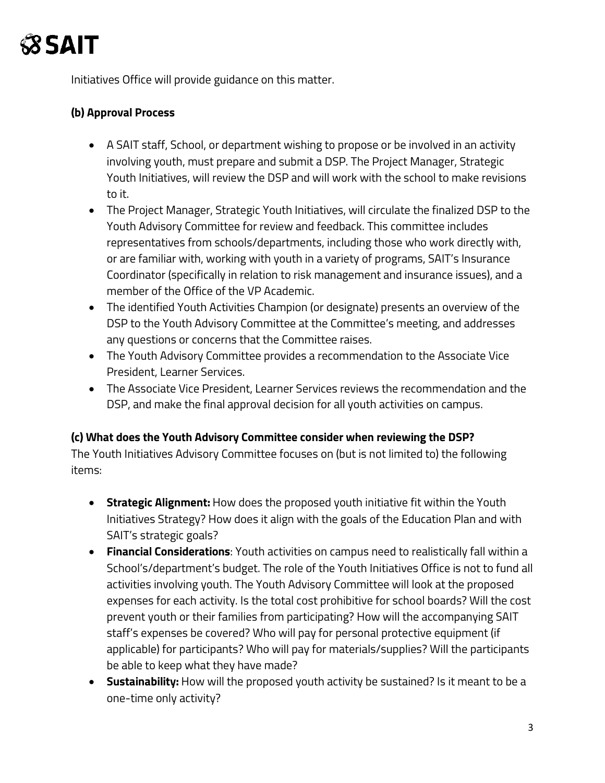

Initiatives Office will provide guidance on this matter.

#### **(b) Approval Process**

- A SAIT staff, School, or department wishing to propose or be involved in an activity involving youth, must prepare and submit a DSP. The Project Manager, Strategic Youth Initiatives, will review the DSP and will work with the school to make revisions to it.
- The Project Manager, Strategic Youth Initiatives, will circulate the finalized DSP to the Youth Advisory Committee for review and feedback. This committee includes representatives from schools/departments, including those who work directly with, or are familiar with, working with youth in a variety of programs, SAIT's Insurance Coordinator (specifically in relation to risk management and insurance issues), and a member of the Office of the VP Academic.
- The identified Youth Activities Champion (or designate) presents an overview of the DSP to the Youth Advisory Committee at the Committee's meeting, and addresses any questions or concerns that the Committee raises.
- The Youth Advisory Committee provides a recommendation to the Associate Vice President, Learner Services.
- The Associate Vice President, Learner Services reviews the recommendation and the DSP, and make the final approval decision for all youth activities on campus.

#### **(c) What does the Youth Advisory Committee consider when reviewing the DSP?**

The Youth Initiatives Advisory Committee focuses on (but is not limited to) the following items:

- **Strategic Alignment:** How does the proposed youth initiative fit within the Youth Initiatives Strategy? How does it align with the goals of the Education Plan and with SAIT's strategic goals?
- **Financial Considerations**: Youth activities on campus need to realistically fall within a School's/department's budget. The role of the Youth Initiatives Office is not to fund all activities involving youth. The Youth Advisory Committee will look at the proposed expenses for each activity. Is the total cost prohibitive for school boards? Will the cost prevent youth or their families from participating? How will the accompanying SAIT staff's expenses be covered? Who will pay for personal protective equipment (if applicable) for participants? Who will pay for materials/supplies? Will the participants be able to keep what they have made?
- **Sustainability:** How will the proposed youth activity be sustained? Is it meant to be a one-time only activity?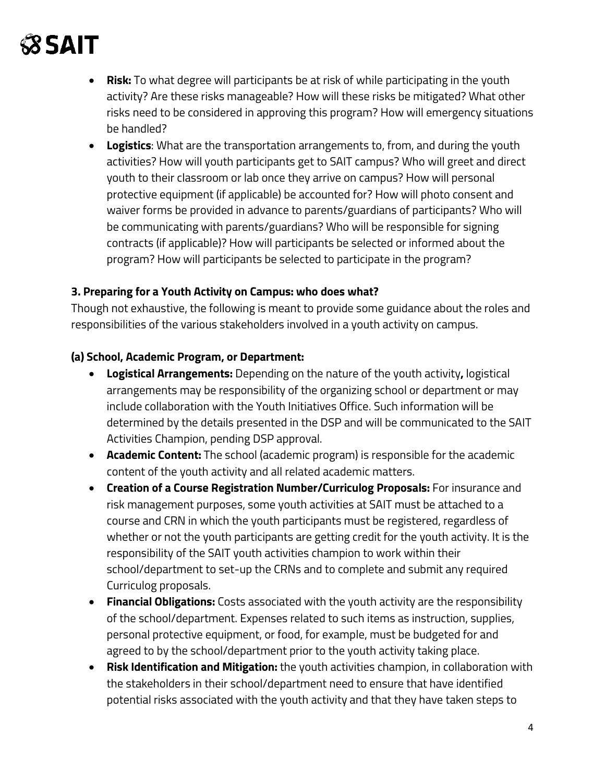- **Risk:** To what degree will participants be at risk of while participating in the youth activity? Are these risks manageable? How will these risks be mitigated? What other risks need to be considered in approving this program? How will emergency situations be handled?
- **Logistics**: What are the transportation arrangements to, from, and during the youth activities? How will youth participants get to SAIT campus? Who will greet and direct youth to their classroom or lab once they arrive on campus? How will personal protective equipment (if applicable) be accounted for? How will photo consent and waiver forms be provided in advance to parents/guardians of participants? Who will be communicating with parents/guardians? Who will be responsible for signing contracts (if applicable)? How will participants be selected or informed about the program? How will participants be selected to participate in the program?

#### **3. Preparing for a Youth Activity on Campus: who does what?**

Though not exhaustive, the following is meant to provide some guidance about the roles and responsibilities of the various stakeholders involved in a youth activity on campus.

### **(a) School, Academic Program, or Department:**

- **Logistical Arrangements:** Depending on the nature of the youth activity**,** logistical arrangements may be responsibility of the organizing school or department or may include collaboration with the Youth Initiatives Office. Such information will be determined by the details presented in the DSP and will be communicated to the SAIT Activities Champion, pending DSP approval.
- **Academic Content:** The school (academic program) is responsible for the academic content of the youth activity and all related academic matters.
- **Creation of a Course Registration Number/Curriculog Proposals:** For insurance and risk management purposes, some youth activities at SAIT must be attached to a course and CRN in which the youth participants must be registered, regardless of whether or not the youth participants are getting credit for the youth activity. It is the responsibility of the SAIT youth activities champion to work within their school/department to set-up the CRNs and to complete and submit any required Curriculog proposals.
- **Financial Obligations:** Costs associated with the youth activity are the responsibility of the school/department. Expenses related to such items as instruction, supplies, personal protective equipment, or food, for example, must be budgeted for and agreed to by the school/department prior to the youth activity taking place.
- **Risk Identification and Mitigation:** the youth activities champion, in collaboration with the stakeholders in their school/department need to ensure that have identified potential risks associated with the youth activity and that they have taken steps to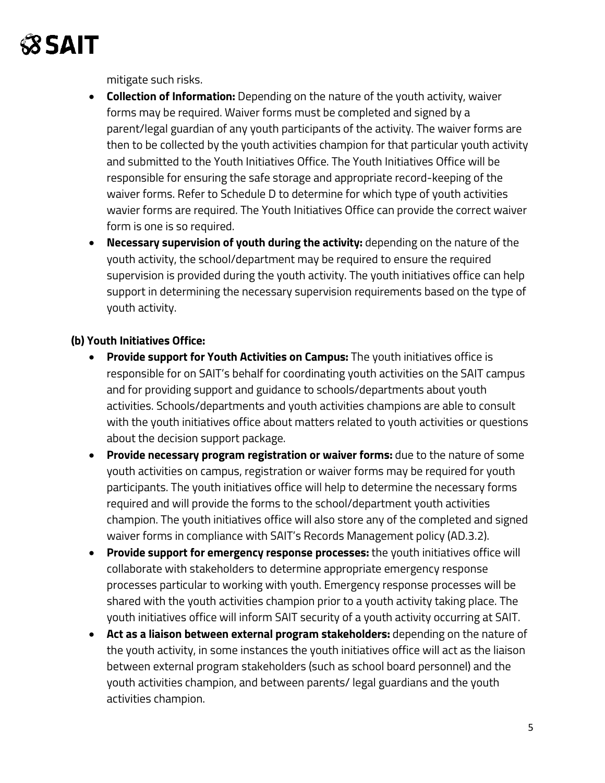

mitigate such risks.

- **Collection of Information:** Depending on the nature of the youth activity, waiver forms may be required. Waiver forms must be completed and signed by a parent/legal guardian of any youth participants of the activity. The waiver forms are then to be collected by the youth activities champion for that particular youth activity and submitted to the Youth Initiatives Office. The Youth Initiatives Office will be responsible for ensuring the safe storage and appropriate record-keeping of the waiver forms. Refer to Schedule D to determine for which type of youth activities wavier forms are required. The Youth Initiatives Office can provide the correct waiver form is one is so required.
- **Necessary supervision of youth during the activity:** depending on the nature of the youth activity, the school/department may be required to ensure the required supervision is provided during the youth activity. The youth initiatives office can help support in determining the necessary supervision requirements based on the type of youth activity.

### **(b) Youth Initiatives Office:**

- **Provide support for Youth Activities on Campus:** The youth initiatives office is responsible for on SAIT's behalf for coordinating youth activities on the SAIT campus and for providing support and guidance to schools/departments about youth activities. Schools/departments and youth activities champions are able to consult with the youth initiatives office about matters related to youth activities or questions about the decision support package.
- **Provide necessary program registration or waiver forms:** due to the nature of some youth activities on campus, registration or waiver forms may be required for youth participants. The youth initiatives office will help to determine the necessary forms required and will provide the forms to the school/department youth activities champion. The youth initiatives office will also store any of the completed and signed waiver forms in compliance with SAIT's Records Management policy (AD.3.2).
- **Provide support for emergency response processes:** the youth initiatives office will collaborate with stakeholders to determine appropriate emergency response processes particular to working with youth. Emergency response processes will be shared with the youth activities champion prior to a youth activity taking place. The youth initiatives office will inform SAIT security of a youth activity occurring at SAIT.
- **Act as a liaison between external program stakeholders:** depending on the nature of the youth activity, in some instances the youth initiatives office will act as the liaison between external program stakeholders (such as school board personnel) and the youth activities champion, and between parents/ legal guardians and the youth activities champion.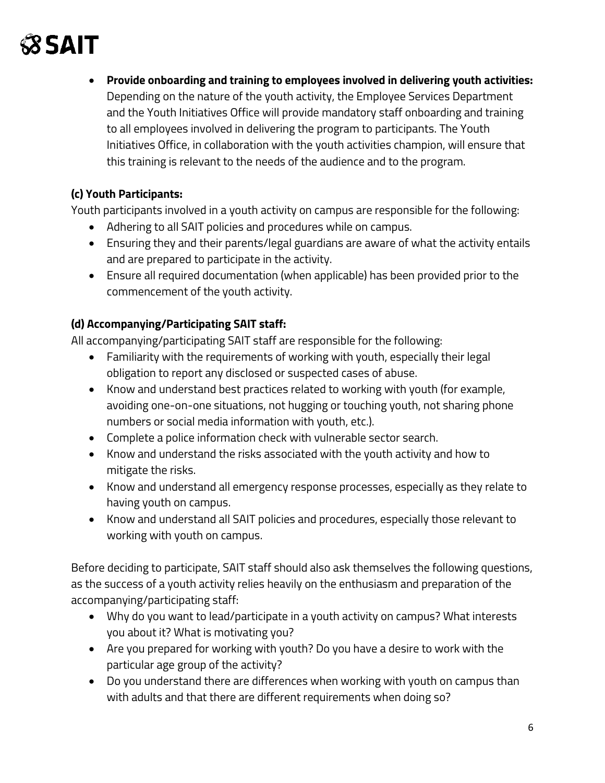• **Provide onboarding and training to employees involved in delivering youth activities:** Depending on the nature of the youth activity, the Employee Services Department and the Youth Initiatives Office will provide mandatory staff onboarding and training to all employees involved in delivering the program to participants. The Youth Initiatives Office, in collaboration with the youth activities champion, will ensure that this training is relevant to the needs of the audience and to the program.

### **(c) Youth Participants:**

Youth participants involved in a youth activity on campus are responsible for the following:

- Adhering to all SAIT policies and procedures while on campus.
- Ensuring they and their parents/legal guardians are aware of what the activity entails and are prepared to participate in the activity.
- Ensure all required documentation (when applicable) has been provided prior to the commencement of the youth activity.

### **(d) Accompanying/Participating SAIT staff:**

All accompanying/participating SAIT staff are responsible for the following:

- Familiarity with the requirements of working with youth, especially their legal obligation to report any disclosed or suspected cases of abuse.
- Know and understand best practices related to working with youth (for example, avoiding one-on-one situations, not hugging or touching youth, not sharing phone numbers or social media information with youth, etc.).
- Complete a police information check with vulnerable sector search.
- Know and understand the risks associated with the youth activity and how to mitigate the risks.
- Know and understand all emergency response processes, especially as they relate to having youth on campus.
- Know and understand all SAIT policies and procedures, especially those relevant to working with youth on campus.

Before deciding to participate, SAIT staff should also ask themselves the following questions, as the success of a youth activity relies heavily on the enthusiasm and preparation of the accompanying/participating staff:

- Why do you want to lead/participate in a youth activity on campus? What interests you about it? What is motivating you?
- Are you prepared for working with youth? Do you have a desire to work with the particular age group of the activity?
- Do you understand there are differences when working with youth on campus than with adults and that there are different requirements when doing so?